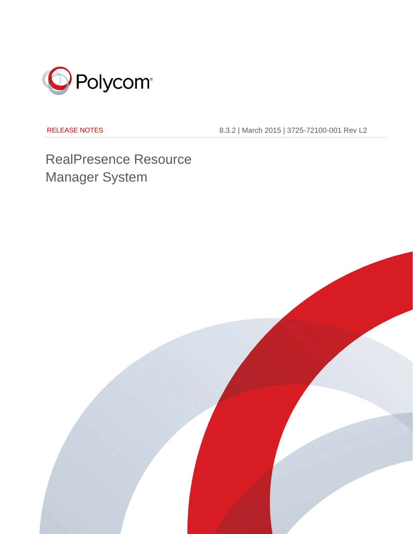

RELEASE NOTES

8.3.2 | March 2015 | 3725-72100-001 Rev L2

RealPresence Resource Manager System

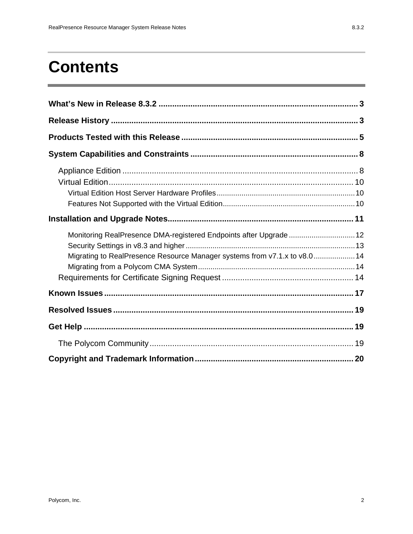# **Contents**

| Monitoring RealPresence DMA-registered Endpoints after Upgrade  12<br>Migrating to RealPresence Resource Manager systems from v7.1.x to v8.014 |  |
|------------------------------------------------------------------------------------------------------------------------------------------------|--|
|                                                                                                                                                |  |
|                                                                                                                                                |  |
|                                                                                                                                                |  |
|                                                                                                                                                |  |
|                                                                                                                                                |  |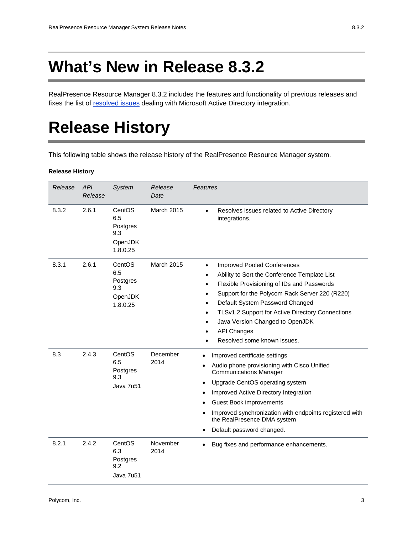RealPresence Resource Manager 8.3.2 includes the features and functionality of previous releases and fixes the list of resolved issues dealing with Microsoft Active Directory integration.

# **Release History**

This following table shows the release history of the RealPresence Resource Manager system.

#### **Release History**

| Release | <b>API</b><br>Release | System                                                  | Release<br>Date   | Features                                                                                                                                                                                                                                                                                                                                                                                                                                               |
|---------|-----------------------|---------------------------------------------------------|-------------------|--------------------------------------------------------------------------------------------------------------------------------------------------------------------------------------------------------------------------------------------------------------------------------------------------------------------------------------------------------------------------------------------------------------------------------------------------------|
| 8.3.2   | 2.6.1                 | CentOS<br>6.5<br>Postgres<br>9.3<br>OpenJDK<br>1.8.0.25 | <b>March 2015</b> | Resolves issues related to Active Directory<br>$\bullet$<br>integrations.                                                                                                                                                                                                                                                                                                                                                                              |
| 8.3.1   | 2.6.1                 | CentOS<br>6.5<br>Postgres<br>9.3<br>OpenJDK<br>1.8.0.25 | <b>March 2015</b> | <b>Improved Pooled Conferences</b><br>$\bullet$<br>Ability to Sort the Conference Template List<br>٠<br>Flexible Provisioning of IDs and Passwords<br>$\bullet$<br>Support for the Polycom Rack Server 220 (R220)<br>$\bullet$<br>Default System Password Changed<br>$\bullet$<br>TLSv1.2 Support for Active Directory Connections<br>٠<br>Java Version Changed to OpenJDK<br>٠<br><b>API Changes</b><br>٠<br>Resolved some known issues.<br>$\bullet$ |
| 8.3     | 2.4.3                 | CentOS<br>6.5<br>Postgres<br>9.3<br>Java 7u51           | December<br>2014  | Improved certificate settings<br>$\bullet$<br>Audio phone provisioning with Cisco Unified<br>٠<br><b>Communications Manager</b><br>Upgrade CentOS operating system<br>٠<br>Improved Active Directory Integration<br>$\bullet$<br>Guest Book improvements<br>Improved synchronization with endpoints registered with<br>$\bullet$<br>the RealPresence DMA system<br>Default password changed.<br>$\bullet$                                              |
| 8.2.1   | 2.4.2                 | CentOS<br>6.3<br>Postgres<br>9.2<br>Java 7u51           | November<br>2014  | Bug fixes and performance enhancements.<br>$\bullet$                                                                                                                                                                                                                                                                                                                                                                                                   |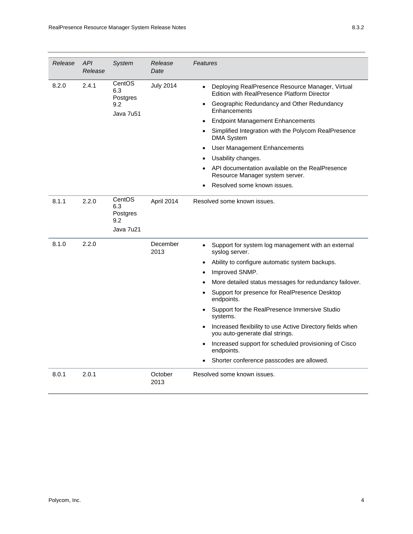| Release | <b>API</b><br>Release | System                                        | Release<br>Date  | Features                                                                                                                                                                                                                                                                                                                                                                                                                                                                                                                                                                                                                         |
|---------|-----------------------|-----------------------------------------------|------------------|----------------------------------------------------------------------------------------------------------------------------------------------------------------------------------------------------------------------------------------------------------------------------------------------------------------------------------------------------------------------------------------------------------------------------------------------------------------------------------------------------------------------------------------------------------------------------------------------------------------------------------|
| 8.2.0   | 2.4.1                 | CentOS<br>6.3<br>Postgres<br>9.2<br>Java 7u51 | <b>July 2014</b> | Deploying RealPresence Resource Manager, Virtual<br>$\bullet$<br><b>Edition with RealPresence Platform Director</b><br>Geographic Redundancy and Other Redundancy<br>Enhancements<br><b>Endpoint Management Enhancements</b><br>$\bullet$<br>Simplified Integration with the Polycom RealPresence<br><b>DMA System</b><br>User Management Enhancements<br>$\bullet$<br>Usability changes.<br>API documentation available on the RealPresence<br>Resource Manager system server.<br>Resolved some known issues.                                                                                                                   |
| 8.1.1   | 2.2.0                 | CentOS<br>6.3<br>Postgres<br>9.2<br>Java 7u21 | April 2014       | Resolved some known issues.                                                                                                                                                                                                                                                                                                                                                                                                                                                                                                                                                                                                      |
| 8.1.0   | 2.2.0                 |                                               | December<br>2013 | Support for system log management with an external<br>$\bullet$<br>syslog server.<br>Ability to configure automatic system backups.<br>$\bullet$<br>Improved SNMP.<br>$\bullet$<br>More detailed status messages for redundancy failover.<br>Support for presence for RealPresence Desktop<br>endpoints.<br>Support for the RealPresence Immersive Studio<br>$\bullet$<br>systems.<br>Increased flexibility to use Active Directory fields when<br>$\bullet$<br>you auto-generate dial strings.<br>Increased support for scheduled provisioning of Cisco<br>$\bullet$<br>endpoints.<br>Shorter conference passcodes are allowed. |
| 8.0.1   | 2.0.1                 |                                               | October<br>2013  | Resolved some known issues.                                                                                                                                                                                                                                                                                                                                                                                                                                                                                                                                                                                                      |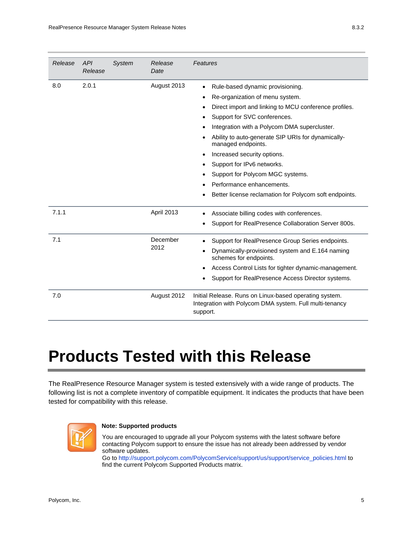| Release | API<br>Release | System | Release<br>Date  | Features                                                                                                                                                                                                                                                                                                                                                                                                                                                                                                             |
|---------|----------------|--------|------------------|----------------------------------------------------------------------------------------------------------------------------------------------------------------------------------------------------------------------------------------------------------------------------------------------------------------------------------------------------------------------------------------------------------------------------------------------------------------------------------------------------------------------|
| 8.0     | 2.0.1          |        | August 2013      | Rule-based dynamic provisioning.<br>$\bullet$<br>Re-organization of menu system.<br>٠<br>Direct import and linking to MCU conference profiles.<br>Support for SVC conferences.<br>Integration with a Polycom DMA supercluster.<br>٠<br>Ability to auto-generate SIP URIs for dynamically-<br>managed endpoints.<br>Increased security options.<br>$\bullet$<br>Support for IPv6 networks.<br>Support for Polycom MGC systems.<br>Performance enhancements.<br>Better license reclamation for Polycom soft endpoints. |
| 7.1.1   |                |        | April 2013       | Associate billing codes with conferences.<br>$\bullet$<br>Support for RealPresence Collaboration Server 800s.                                                                                                                                                                                                                                                                                                                                                                                                        |
| 7.1     |                |        | December<br>2012 | Support for RealPresence Group Series endpoints.<br>Dynamically-provisioned system and E.164 naming<br>schemes for endpoints.<br>Access Control Lists for tighter dynamic-management.<br>$\bullet$<br>Support for RealPresence Access Director systems.                                                                                                                                                                                                                                                              |
| 7.0     |                |        | August 2012      | Initial Release. Runs on Linux-based operating system.<br>Integration with Polycom DMA system. Full multi-tenancy<br>support.                                                                                                                                                                                                                                                                                                                                                                                        |

# **Products Tested with this Release**

The RealPresence Resource Manager system is tested extensively with a wide range of products. The following list is not a complete inventory of compatible equipment. It indicates the products that have been tested for compatibility with this release.



#### **Note: Supported products**

You are encouraged to upgrade all your Polycom systems with the latest software before contacting Polycom support to ensure the issue has not already been addressed by vendor software updates.

Go to http://support.polycom.com/PolycomService/support/us/support/service\_policies.html to find the current Polycom Supported Products matrix.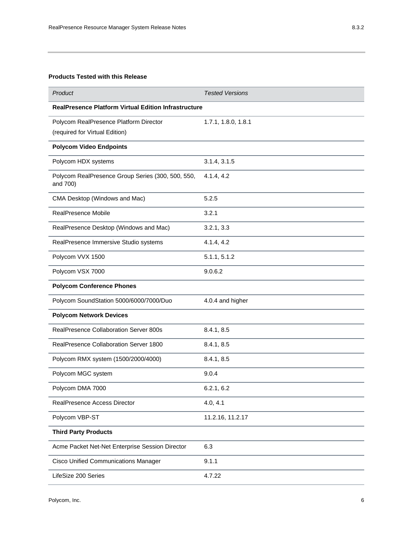#### **Products Tested with this Release**

| Product                                                                  | <b>Tested Versions</b> |
|--------------------------------------------------------------------------|------------------------|
| <b>RealPresence Platform Virtual Edition Infrastructure</b>              |                        |
| Polycom RealPresence Platform Director<br>(required for Virtual Edition) | 1.7.1, 1.8.0, 1.8.1    |
| <b>Polycom Video Endpoints</b>                                           |                        |
| Polycom HDX systems                                                      | 3.1.4, 3.1.5           |
| Polycom RealPresence Group Series (300, 500, 550,<br>and 700)            | 4.1.4, 4.2             |
| CMA Desktop (Windows and Mac)                                            | 5.2.5                  |
| RealPresence Mobile                                                      | 3.2.1                  |
| RealPresence Desktop (Windows and Mac)                                   | 3.2.1, 3.3             |
| RealPresence Immersive Studio systems                                    | 4.1.4, 4.2             |
| Polycom VVX 1500                                                         | 5.1.1, 5.1.2           |
| Polycom VSX 7000                                                         | 9.0.6.2                |
| <b>Polycom Conference Phones</b>                                         |                        |
| Polycom SoundStation 5000/6000/7000/Duo                                  | 4.0.4 and higher       |
| <b>Polycom Network Devices</b>                                           |                        |
| RealPresence Collaboration Server 800s                                   | 8.4.1, 8.5             |
| RealPresence Collaboration Server 1800                                   | 8.4.1, 8.5             |
| Polycom RMX system (1500/2000/4000)                                      | 8.4.1, 8.5             |
| Polycom MGC system                                                       | 9.0.4                  |
| Polycom DMA 7000                                                         | 6.2.1, 6.2             |
| RealPresence Access Director                                             | 4.0, 4.1               |
| Polycom VBP-ST                                                           | 11.2.16, 11.2.17       |
| <b>Third Party Products</b>                                              |                        |
| Acme Packet Net-Net Enterprise Session Director                          | 6.3                    |
| <b>Cisco Unified Communications Manager</b>                              | 9.1.1                  |
| LifeSize 200 Series                                                      | 4.7.22                 |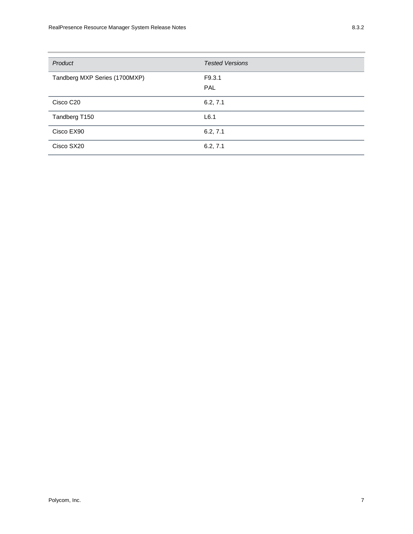| Product                       | <b>Tested Versions</b> |
|-------------------------------|------------------------|
| Tandberg MXP Series (1700MXP) | F9.3.1<br>PAL          |
| Cisco C <sub>20</sub>         | 6.2, 7.1               |
| Tandberg T150                 | L6.1                   |
| Cisco EX90                    | 6.2, 7.1               |
| Cisco SX20                    | 6.2, 7.1               |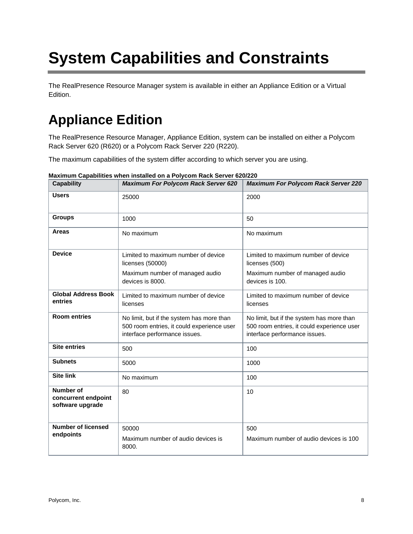# **System Capabilities and Constraints**

The RealPresence Resource Manager system is available in either an Appliance Edition or a Virtual Edition.

# **Appliance Edition**

The RealPresence Resource Manager, Appliance Edition, system can be installed on either a Polycom Rack Server 620 (R620) or a Polycom Rack Server 220 (R220).

The maximum capabilities of the system differ according to which server you are using.

| <b>Capability</b>                                    | <b>Maximum For Polycom Rack Server 620</b>                                                                               | <b>Maximum For Polycom Rack Server 220</b>                                                                               |  |  |
|------------------------------------------------------|--------------------------------------------------------------------------------------------------------------------------|--------------------------------------------------------------------------------------------------------------------------|--|--|
| <b>Users</b>                                         | 25000                                                                                                                    | 2000                                                                                                                     |  |  |
| <b>Groups</b>                                        | 1000                                                                                                                     | 50                                                                                                                       |  |  |
| Areas                                                | No maximum                                                                                                               | No maximum                                                                                                               |  |  |
| <b>Device</b>                                        | Limited to maximum number of device<br>licenses (50000)                                                                  | Limited to maximum number of device<br>licenses (500)                                                                    |  |  |
|                                                      | Maximum number of managed audio<br>devices is 8000.                                                                      | Maximum number of managed audio<br>devices is 100.                                                                       |  |  |
| <b>Global Address Book</b><br>entries                | Limited to maximum number of device<br>licenses                                                                          | Limited to maximum number of device<br>licenses                                                                          |  |  |
| <b>Room entries</b>                                  | No limit, but if the system has more than<br>500 room entries, it could experience user<br>interface performance issues. | No limit, but if the system has more than<br>500 room entries, it could experience user<br>interface performance issues. |  |  |
| <b>Site entries</b>                                  | 500                                                                                                                      | 100                                                                                                                      |  |  |
| <b>Subnets</b>                                       | 5000                                                                                                                     | 1000                                                                                                                     |  |  |
| <b>Site link</b>                                     | No maximum                                                                                                               | 100                                                                                                                      |  |  |
| Number of<br>concurrent endpoint<br>software upgrade | 80                                                                                                                       | 10                                                                                                                       |  |  |
| <b>Number of licensed</b><br>endpoints               | 50000<br>Maximum number of audio devices is<br>8000.                                                                     | 500<br>Maximum number of audio devices is 100                                                                            |  |  |

**Maximum Capabilities when installed on a Polycom Rack Server 620/220**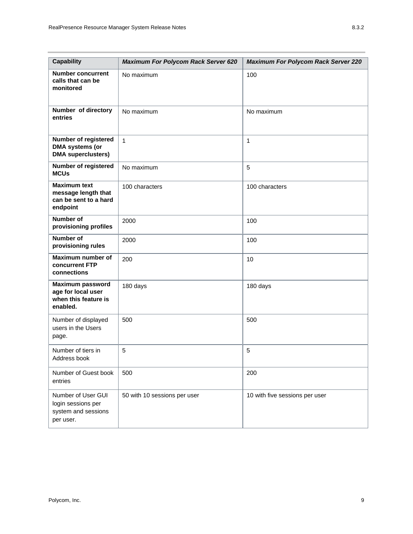| <b>Capability</b>                                                                 | <b>Maximum For Polycom Rack Server 620</b> | <b>Maximum For Polycom Rack Server 220</b> |
|-----------------------------------------------------------------------------------|--------------------------------------------|--------------------------------------------|
| <b>Number concurrent</b><br>calls that can be<br>monitored                        | No maximum                                 | 100                                        |
| Number of directory<br>entries                                                    | No maximum                                 | No maximum                                 |
| Number of registered<br>DMA systems (or<br><b>DMA</b> superclusters)              | $\overline{1}$                             | 1                                          |
| Number of registered<br><b>MCUs</b>                                               | No maximum                                 | 5                                          |
| <b>Maximum text</b><br>message length that<br>can be sent to a hard<br>endpoint   | 100 characters                             | 100 characters                             |
| <b>Number of</b><br>provisioning profiles                                         | 2000                                       | 100                                        |
| <b>Number of</b><br>provisioning rules                                            | 2000                                       | 100                                        |
| Maximum number of<br>concurrent FTP<br>connections                                | 200                                        | 10                                         |
| <b>Maximum password</b><br>age for local user<br>when this feature is<br>enabled. | 180 days                                   | 180 days                                   |
| Number of displayed<br>users in the Users<br>page.                                | 500                                        | 500                                        |
| Number of tiers in<br>Address book                                                | 5                                          | 5                                          |
| Number of Guest book<br>entries                                                   | 500                                        | 200                                        |
| Number of User GUI<br>login sessions per<br>system and sessions<br>per user.      | 50 with 10 sessions per user               | 10 with five sessions per user             |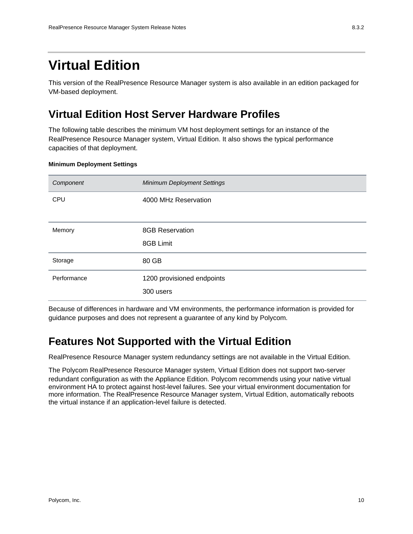## **Virtual Edition**

This version of the RealPresence Resource Manager system is also available in an edition packaged for VM-based deployment.

### **Virtual Edition Host Server Hardware Profiles**

The following table describes the minimum VM host deployment settings for an instance of the RealPresence Resource Manager system, Virtual Edition. It also shows the typical performance capacities of that deployment.

#### **Minimum Deployment Settings**

| Component   | <b>Minimum Deployment Settings</b> |
|-------------|------------------------------------|
| CPU         | 4000 MHz Reservation               |
|             |                                    |
| Memory      | <b>8GB Reservation</b>             |
|             | 8GB Limit                          |
| Storage     | 80 GB                              |
| Performance | 1200 provisioned endpoints         |
|             | 300 users                          |

Because of differences in hardware and VM environments, the performance information is provided for guidance purposes and does not represent a guarantee of any kind by Polycom.

### **Features Not Supported with the Virtual Edition**

RealPresence Resource Manager system redundancy settings are not available in the Virtual Edition.

The Polycom RealPresence Resource Manager system, Virtual Edition does not support two-server redundant configuration as with the Appliance Edition. Polycom recommends using your native virtual environment HA to protect against host-level failures. See your virtual environment documentation for more information. The RealPresence Resource Manager system, Virtual Edition, automatically reboots the virtual instance if an application-level failure is detected.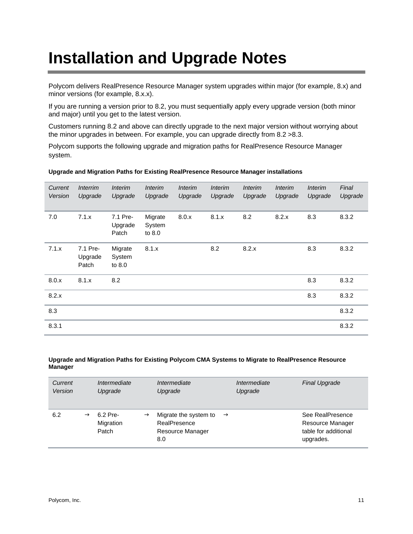# **Installation and Upgrade Notes**

Polycom delivers RealPresence Resource Manager system upgrades within major (for example, 8.x) and minor versions (for example, 8.x.x).

If you are running a version prior to 8.2, you must sequentially apply every upgrade version (both minor and major) until you get to the latest version.

Customers running 8.2 and above can directly upgrade to the next major version without worrying about the minor upgrades in between. For example, you can upgrade directly from 8.2 >8.3.

Polycom supports the following upgrade and migration paths for RealPresence Resource Manager system.

| Current<br>Version | <i>Interrim</i><br>Upgrade   | <i>Interim</i><br>Upgrade    | <i>Interim</i><br>Upgrade   | <i>Interim</i><br>Upgrade | <i>Interim</i><br>Upgrade | <i><b>Interim</b></i><br>Upgrade | <b>Interim</b><br>Upgrade | <i>Interim</i><br>Upgrade | Final<br>Upgrade |
|--------------------|------------------------------|------------------------------|-----------------------------|---------------------------|---------------------------|----------------------------------|---------------------------|---------------------------|------------------|
| 7.0                | 7.1.x                        | 7.1 Pre-<br>Upgrade<br>Patch | Migrate<br>System<br>to 8.0 | 8.0.x                     | 8.1.x                     | 8.2                              | 8.2.x                     | 8.3                       | 8.3.2            |
| 7.1.x              | 7.1 Pre-<br>Upgrade<br>Patch | Migrate<br>System<br>to 8.0  | 8.1.x                       |                           | 8.2                       | 8.2.x                            |                           | 8.3                       | 8.3.2            |
| 8.0.x              | 8.1.x                        | 8.2                          |                             |                           |                           |                                  |                           | 8.3                       | 8.3.2            |
| 8.2.x              |                              |                              |                             |                           |                           |                                  |                           | 8.3                       | 8.3.2            |
| 8.3                |                              |                              |                             |                           |                           |                                  |                           |                           | 8.3.2            |
| 8.3.1              |                              |                              |                             |                           |                           |                                  |                           |                           | 8.3.2            |

#### **Upgrade and Migration Paths for Existing RealPresence Resource Manager installations**

#### **Upgrade and Migration Paths for Existing Polycom CMA Systems to Migrate to RealPresence Resource Manager**

| Current<br>Version |               | Intermediate<br>Upgrade        |               | Intermediate<br>Upgrade                                          |               | Intermediate<br>Upgrade | <b>Final Upgrade</b>                                                      |
|--------------------|---------------|--------------------------------|---------------|------------------------------------------------------------------|---------------|-------------------------|---------------------------------------------------------------------------|
| 6.2                | $\rightarrow$ | 6.2 Pre-<br>Migration<br>Patch | $\rightarrow$ | Migrate the system to<br>RealPresence<br>Resource Manager<br>8.0 | $\rightarrow$ |                         | See RealPresence<br>Resource Manager<br>table for additional<br>upgrades. |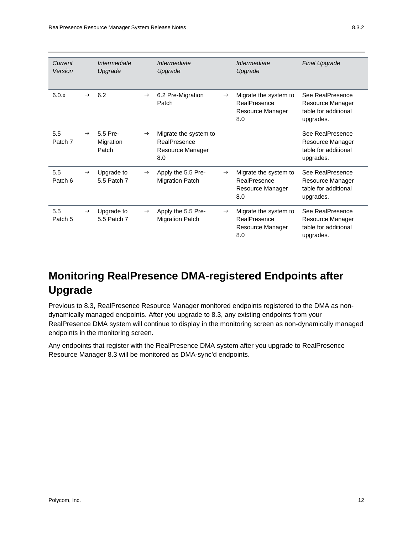| Current<br>Version |               | Intermediate<br>Upgrade        |               | Intermediate<br>Upgrade                                          |               | Intermediate<br>Upgrade                                          | <b>Final Upgrade</b>                                                      |
|--------------------|---------------|--------------------------------|---------------|------------------------------------------------------------------|---------------|------------------------------------------------------------------|---------------------------------------------------------------------------|
| 6.0.x              | $\rightarrow$ | 6.2                            | $\rightarrow$ | 6.2 Pre-Migration<br>Patch                                       | $\rightarrow$ | Migrate the system to<br>RealPresence<br>Resource Manager<br>8.0 | See RealPresence<br>Resource Manager<br>table for additional<br>upgrades. |
| 5.5<br>Patch 7     | $\rightarrow$ | 5.5 Pre-<br>Migration<br>Patch | $\rightarrow$ | Migrate the system to<br>RealPresence<br>Resource Manager<br>8.0 |               |                                                                  | See RealPresence<br>Resource Manager<br>table for additional<br>upgrades. |
| 5.5<br>Patch 6     | $\rightarrow$ | Upgrade to<br>5.5 Patch 7      | $\rightarrow$ | Apply the 5.5 Pre-<br><b>Migration Patch</b>                     | $\rightarrow$ | Migrate the system to<br>RealPresence<br>Resource Manager<br>8.0 | See RealPresence<br>Resource Manager<br>table for additional<br>upgrades. |
| 5.5<br>Patch 5     | $\rightarrow$ | Upgrade to<br>5.5 Patch 7      | $\rightarrow$ | Apply the 5.5 Pre-<br><b>Migration Patch</b>                     | $\rightarrow$ | Migrate the system to<br>RealPresence<br>Resource Manager<br>8.0 | See RealPresence<br>Resource Manager<br>table for additional<br>upgrades. |

## **Monitoring RealPresence DMA-registered Endpoints after Upgrade**

Previous to 8.3, RealPresence Resource Manager monitored endpoints registered to the DMA as nondynamically managed endpoints. After you upgrade to 8.3, any existing endpoints from your RealPresence DMA system will continue to display in the monitoring screen as non-dynamically managed endpoints in the monitoring screen.

Any endpoints that register with the RealPresence DMA system after you upgrade to RealPresence Resource Manager 8.3 will be monitored as DMA-sync'd endpoints.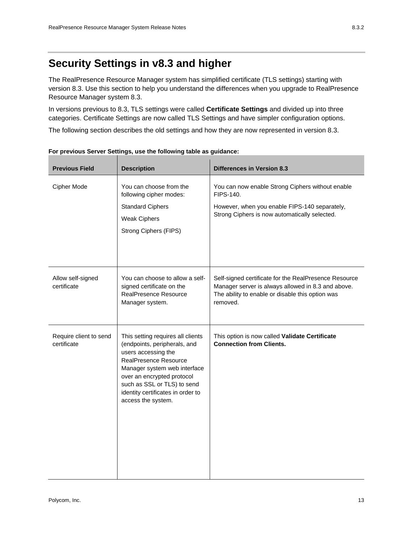The RealPresence Resource Manager system has simplified certificate (TLS settings) starting with version 8.3. Use this section to help you understand the differences when you upgrade to RealPresence Resource Manager system 8.3.

In versions previous to 8.3, TLS settings were called **Certificate Settings** and divided up into three categories. Certificate Settings are now called TLS Settings and have simpler configuration options.

The following section describes the old settings and how they are now represented in version 8.3.

| <b>Previous Field</b>                 | <b>Description</b>                                                                                                                                                                                                                                                               | <b>Differences in Version 8.3</b>                                                                                                                                           |
|---------------------------------------|----------------------------------------------------------------------------------------------------------------------------------------------------------------------------------------------------------------------------------------------------------------------------------|-----------------------------------------------------------------------------------------------------------------------------------------------------------------------------|
| Cipher Mode                           | You can choose from the<br>FIPS-140.<br>following cipher modes:                                                                                                                                                                                                                  | You can now enable Strong Ciphers without enable                                                                                                                            |
|                                       | <b>Standard Ciphers</b><br><b>Weak Ciphers</b><br><b>Strong Ciphers (FIPS)</b>                                                                                                                                                                                                   | However, when you enable FIPS-140 separately,<br>Strong Ciphers is now automatically selected.                                                                              |
|                                       |                                                                                                                                                                                                                                                                                  |                                                                                                                                                                             |
| Allow self-signed<br>certificate      | You can choose to allow a self-<br>signed certificate on the<br><b>RealPresence Resource</b><br>Manager system.                                                                                                                                                                  | Self-signed certificate for the RealPresence Resource<br>Manager server is always allowed in 8.3 and above.<br>The ability to enable or disable this option was<br>removed. |
| Require client to send<br>certificate | This setting requires all clients<br>(endpoints, peripherals, and<br>users accessing the<br><b>RealPresence Resource</b><br>Manager system web interface<br>over an encrypted protocol<br>such as SSL or TLS) to send<br>identity certificates in order to<br>access the system. | This option is now called Validate Certificate<br><b>Connection from Clients.</b>                                                                                           |

**For previous Server Settings, use the following table as guidance:**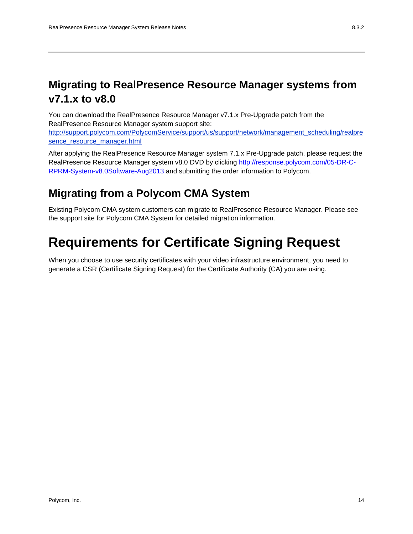## **Migrating to RealPresence Resource Manager systems from v7.1.x to v8.0**

You can download the RealPresence Resource Manager v7.1.x Pre-Upgrade patch from the RealPresence Resource Manager system support site:

http://support.polycom.com/PolycomService/support/us/support/network/management\_scheduling/realpre sence\_resource\_manager.html

After applying the RealPresence Resource Manager system 7.1.x Pre-Upgrade patch, please request the RealPresence Resource Manager system v8.0 DVD by clicking http://response.polycom.com/05-DR-C-RPRM-System-v8.0Software-Aug2013 and submitting the order information to Polycom.

### **Migrating from a Polycom CMA System**

Existing Polycom CMA system customers can migrate to RealPresence Resource Manager. Please see the support site for Polycom CMA System for detailed migration information.

## **Requirements for Certificate Signing Request**

When you choose to use security certificates with your video infrastructure environment, you need to generate a CSR (Certificate Signing Request) for the Certificate Authority (CA) you are using.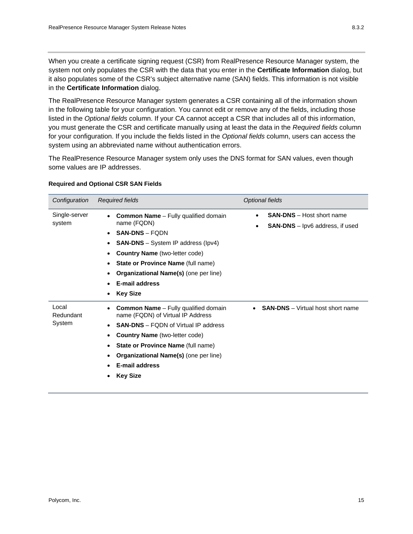When you create a certificate signing request (CSR) from RealPresence Resource Manager system, the system not only populates the CSR with the data that you enter in the **Certificate Information** dialog, but it also populates some of the CSR's subject alternative name (SAN) fields. This information is not visible in the **Certificate Information** dialog.

The RealPresence Resource Manager system generates a CSR containing all of the information shown in the following table for your configuration. You cannot edit or remove any of the fields, including those listed in the *Optional fields* column. If your CA cannot accept a CSR that includes all of this information, you must generate the CSR and certificate manually using at least the data in the *Required fields* column for your configuration. If you include the fields listed in the *Optional fields* column, users can access the system using an abbreviated name without authentication errors.

The RealPresence Resource Manager system only uses the DNS format for SAN values, even though some values are IP addresses.

| Configuration                | Required fields                                                                                                                                                                                                                                                                                                    | <b>Optional fields</b>                                                     |  |
|------------------------------|--------------------------------------------------------------------------------------------------------------------------------------------------------------------------------------------------------------------------------------------------------------------------------------------------------------------|----------------------------------------------------------------------------|--|
| Single-server<br>system      | <b>Common Name</b> - Fully qualified domain<br>name (FQDN)<br><b>SAN-DNS - FQDN</b><br><b>SAN-DNS</b> – System IP address (Ipv4)<br><b>Country Name</b> (two-letter code)<br><b>State or Province Name (full name)</b><br><b>Organizational Name(s)</b> (one per line)<br><b>E-mail address</b><br><b>Key Size</b> | <b>SAN-DNS</b> - Host short name<br><b>SAN-DNS</b> – lpv6 address, if used |  |
| Local<br>Redundant<br>System | <b>Common Name</b> - Fully qualified domain<br>name (FQDN) of Virtual IP Address<br><b>SAN-DNS</b> – FQDN of Virtual IP address<br><b>Country Name</b> (two-letter code)<br><b>State or Province Name (full name)</b><br><b>Organizational Name(s)</b> (one per line)<br><b>E-mail address</b><br><b>Key Size</b>  | <b>SAN-DNS</b> – Virtual host short name                                   |  |

#### **Required and Optional CSR SAN Fields**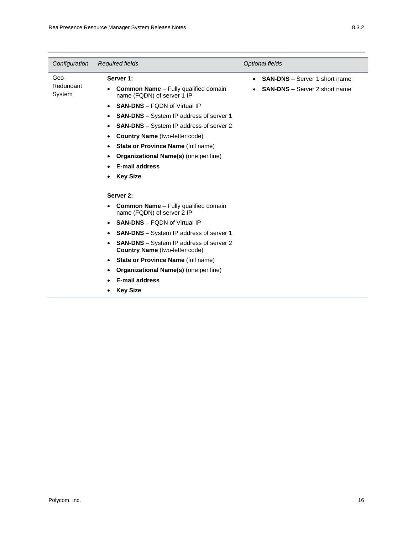| Configuration               | <b>Required fields</b>                                                                                                                                                                                                                                                                                                                                                                                                       | <b>Optional fields</b>                                                       |  |
|-----------------------------|------------------------------------------------------------------------------------------------------------------------------------------------------------------------------------------------------------------------------------------------------------------------------------------------------------------------------------------------------------------------------------------------------------------------------|------------------------------------------------------------------------------|--|
| Geo-<br>Redundant<br>System | Server 1:<br><b>Common Name</b> – Fully qualified domain<br>name (FQDN) of server 1 IP<br><b>SAN-DNS - FODN of Virtual IP</b><br>$\bullet$<br><b>SAN-DNS</b> – System IP address of server 1<br><b>SAN-DNS</b> – System IP address of server 2<br><b>Country Name</b> (two-letter code)<br>٠<br><b>State or Province Name (full name)</b><br>Organizational Name(s) (one per line)<br>E-mail address<br><b>Key Size</b>      | <b>SAN-DNS</b> – Server 1 short name<br><b>SAN-DNS</b> - Server 2 short name |  |
|                             | Server 2:                                                                                                                                                                                                                                                                                                                                                                                                                    |                                                                              |  |
|                             | <b>Common Name</b> – Fully qualified domain<br>name (FQDN) of server 2 IP<br><b>SAN-DNS - FQDN of Virtual IP</b><br>$\bullet$<br><b>SAN-DNS</b> – System IP address of server 1<br>$\bullet$<br><b>SAN-DNS</b> – System IP address of server 2<br><b>Country Name</b> (two-letter code)<br>State or Province Name (full name)<br>٠<br>Organizational Name(s) (one per line)<br><b>E-mail address</b><br><b>Key Size</b><br>٠ |                                                                              |  |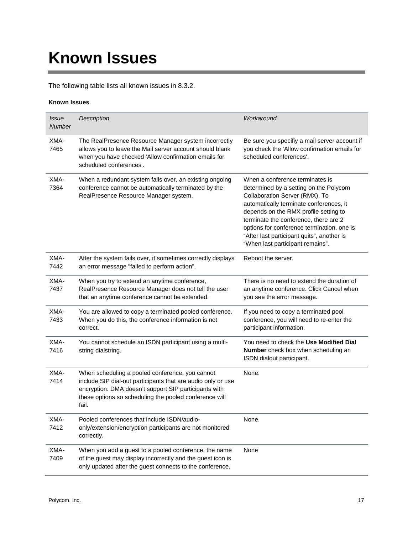# **Known Issues**

The following table lists all known issues in 8.3.2.

#### **Known Issues**

| <i>Issue</i><br>Number | Description                                                                                                                                                                                                                                 | Workaround                                                                                                                                                                                                                                                                                                                                                               |
|------------------------|---------------------------------------------------------------------------------------------------------------------------------------------------------------------------------------------------------------------------------------------|--------------------------------------------------------------------------------------------------------------------------------------------------------------------------------------------------------------------------------------------------------------------------------------------------------------------------------------------------------------------------|
| XMA-<br>7465           | The RealPresence Resource Manager system incorrectly<br>allows you to leave the Mail server account should blank<br>when you have checked 'Allow confirmation emails for<br>scheduled conferences'.                                         | Be sure you specifiy a mail server account if<br>you check the 'Allow confirmation emails for<br>scheduled conferences'.                                                                                                                                                                                                                                                 |
| XMA-<br>7364           | When a redundant system fails over, an existing ongoing<br>conference cannot be automatically terminated by the<br>RealPresence Resource Manager system.                                                                                    | When a conference terminates is<br>determined by a setting on the Polycom<br>Collaboration Server (RMX). To<br>automatically terminate conferences, it<br>depends on the RMX profile setting to<br>terminate the conference, there are 2<br>options for conference termination, one is<br>"After last participant quits", another is<br>"When last participant remains". |
| XMA-<br>7442           | After the system fails over, it sometimes correctly displays<br>an error message "failed to perform action".                                                                                                                                | Reboot the server.                                                                                                                                                                                                                                                                                                                                                       |
| XMA-<br>7437           | When you try to extend an anytime conference,<br>RealPresence Resource Manager does not tell the user<br>that an anytime conference cannot be extended.                                                                                     | There is no need to extend the duration of<br>an anytime conference. Click Cancel when<br>you see the error message.                                                                                                                                                                                                                                                     |
| XMA-<br>7433           | You are allowed to copy a terminated pooled conference.<br>When you do this, the conference information is not<br>correct.                                                                                                                  | If you need to copy a terminated pool<br>conference, you will need to re-enter the<br>participant information.                                                                                                                                                                                                                                                           |
| XMA-<br>7416           | You cannot schedule an ISDN participant using a multi-<br>string dialstring.                                                                                                                                                                | You need to check the Use Modified Dial<br>Number check box when scheduling an<br>ISDN dialout participant.                                                                                                                                                                                                                                                              |
| XMA-<br>7414           | When scheduling a pooled conference, you cannot<br>include SIP dial-out participants that are audio only or use<br>encryption. DMA doesn't support SIP participants with<br>these options so scheduling the pooled conference will<br>fail. | None.                                                                                                                                                                                                                                                                                                                                                                    |
| XMA-<br>7412           | Pooled conferences that include ISDN/audio-<br>only/extension/encryption participants are not monitored<br>correctly.                                                                                                                       | None.                                                                                                                                                                                                                                                                                                                                                                    |
| XMA-<br>7409           | When you add a guest to a pooled conference, the name<br>of the guest may display incorrectly and the guest icon is<br>only updated after the guest connects to the conference.                                                             | None                                                                                                                                                                                                                                                                                                                                                                     |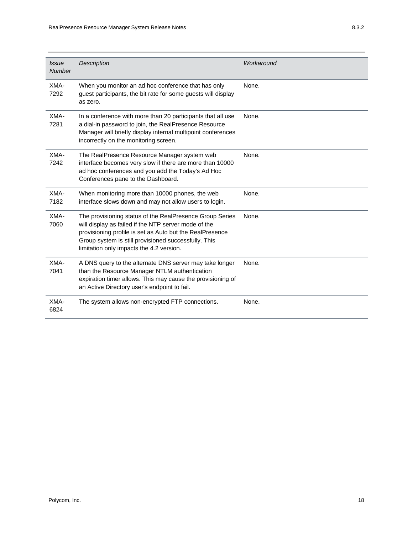| <b>Issue</b><br><b>Number</b> | <b>Description</b>                                                                                                                                                                                                                                                               | Workaround |
|-------------------------------|----------------------------------------------------------------------------------------------------------------------------------------------------------------------------------------------------------------------------------------------------------------------------------|------------|
| XMA-<br>7292                  | When you monitor an ad hoc conference that has only<br>guest participants, the bit rate for some guests will display<br>as zero.                                                                                                                                                 | None.      |
| XMA-<br>7281                  | In a conference with more than 20 participants that all use<br>a dial-in password to join, the RealPresence Resource<br>Manager will briefly display internal multipoint conferences<br>incorrectly on the monitoring screen.                                                    | None.      |
| XMA-<br>7242                  | The RealPresence Resource Manager system web<br>interface becomes very slow if there are more than 10000<br>ad hoc conferences and you add the Today's Ad Hoc<br>Conferences pane to the Dashboard.                                                                              | None.      |
| XMA-<br>7182                  | When monitoring more than 10000 phones, the web<br>interface slows down and may not allow users to login.                                                                                                                                                                        | None.      |
| XMA-<br>7060                  | The provisioning status of the RealPresence Group Series<br>will display as failed if the NTP server mode of the<br>provisioning profile is set as Auto but the RealPresence<br>Group system is still provisioned successfully. This<br>limitation only impacts the 4.2 version. | None.      |
| XMA-<br>7041                  | A DNS query to the alternate DNS server may take longer<br>than the Resource Manager NTLM authentication<br>expiration timer allows. This may cause the provisioning of<br>an Active Directory user's endpoint to fail.                                                          | None.      |
| XMA-<br>6824                  | The system allows non-encrypted FTP connections.                                                                                                                                                                                                                                 | None.      |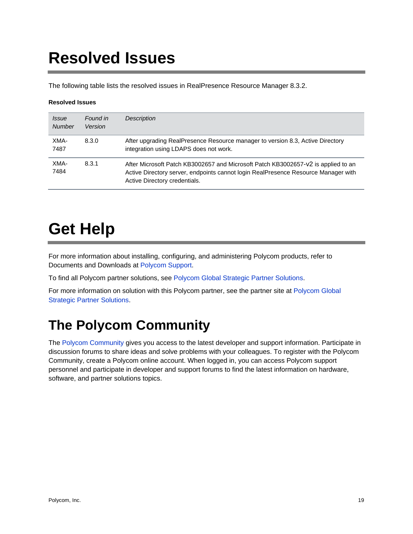# **Resolved Issues**

The following table lists the resolved issues in RealPresence Resource Manager 8.3.2.

#### **Resolved Issues**

| <i>Issue</i><br><b>Number</b> | Found in<br>Version | <b>Description</b>                                                                                                                                                                                       |
|-------------------------------|---------------------|----------------------------------------------------------------------------------------------------------------------------------------------------------------------------------------------------------|
| XMA-<br>7487                  | 8.3.0               | After upgrading RealPresence Resource manager to version 8.3, Active Directory<br>integration using LDAPS does not work.                                                                                 |
| XMA-<br>7484                  | 8.3.1               | After Microsoft Patch KB3002657 and Microsoft Patch KB3002657-v2 is applied to an<br>Active Directory server, endpoints cannot login RealPresence Resource Manager with<br>Active Directory credentials. |

# **Get Help**

For more information about installing, configuring, and administering Polycom products, refer to Documents and Downloads at Polycom Support.

To find all Polycom partner solutions, see Polycom Global Strategic Partner Solutions.

For more information on solution with this Polycom partner, see the partner site at Polycom Global Strategic Partner Solutions.

## **The Polycom Community**

The Polycom Community gives you access to the latest developer and support information. Participate in discussion forums to share ideas and solve problems with your colleagues. To register with the Polycom Community, create a Polycom online account. When logged in, you can access Polycom support personnel and participate in developer and support forums to find the latest information on hardware, software, and partner solutions topics.